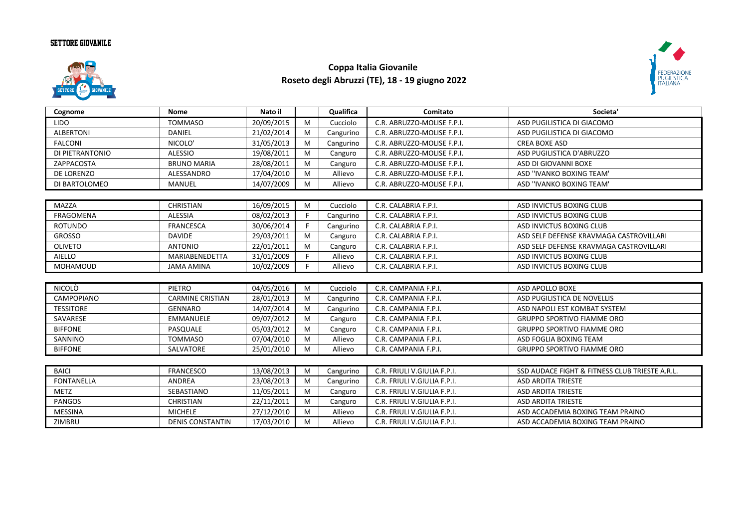## **SETTORE GIOVANILE**



## **Coppa Italia Giovanile Roseto degli Abruzzi (TE), 18 - 19 giugno 2022**



| Cognome           | <b>Nome</b>             | Nato il    |    | Qualifica | Comitato                    | Societa'                                       |
|-------------------|-------------------------|------------|----|-----------|-----------------------------|------------------------------------------------|
| <b>LIDO</b>       | <b>TOMMASO</b>          | 20/09/2015 | M  | Cucciolo  | C.R. ABRUZZO-MOLISE F.P.I.  | ASD PUGILISTICA DI GIACOMO                     |
| <b>ALBERTONI</b>  | DANIEL                  | 21/02/2014 | M  | Cangurino | C.R. ABRUZZO-MOLISE F.P.I.  | ASD PUGILISTICA DI GIACOMO                     |
| <b>FALCONI</b>    | NICOLO'                 | 31/05/2013 | M  | Cangurino | C.R. ABRUZZO-MOLISE F.P.I.  | <b>CREA BOXE ASD</b>                           |
| DI PIETRANTONIO   | <b>ALESSIO</b>          | 19/08/2011 | M  | Canguro   | C.R. ABRUZZO-MOLISE F.P.I.  | ASD PUGILISTICA D'ABRUZZO                      |
| ZAPPACOSTA        | <b>BRUNO MARIA</b>      | 28/08/2011 | M  | Canguro   | C.R. ABRUZZO-MOLISE F.P.I.  | ASD DI GIOVANNI BOXE                           |
| DE LORENZO        | ALESSANDRO              | 17/04/2010 | M  | Allievo   | C.R. ABRUZZO-MOLISE F.P.I.  | ASD "IVANKO BOXING TEAM"                       |
| DI BARTOLOMEO     | <b>MANUEL</b>           | 14/07/2009 | M  | Allievo   | C.R. ABRUZZO-MOLISE F.P.I.  | ASD "IVANKO BOXING TEAM"                       |
|                   |                         |            |    |           |                             |                                                |
| <b>MAZZA</b>      | <b>CHRISTIAN</b>        | 16/09/2015 | M  | Cucciolo  | C.R. CALABRIA F.P.I.        | ASD INVICTUS BOXING CLUB                       |
| <b>FRAGOMENA</b>  | <b>ALESSIA</b>          | 08/02/2013 |    | Cangurino | C.R. CALABRIA F.P.I.        | ASD INVICTUS BOXING CLUB                       |
| <b>ROTUNDO</b>    | <b>FRANCESCA</b>        | 30/06/2014 |    | Cangurino | C.R. CALABRIA F.P.I.        | ASD INVICTUS BOXING CLUB                       |
| <b>GROSSO</b>     | <b>DAVIDE</b>           | 29/03/2011 | M  | Canguro   | C.R. CALABRIA F.P.I.        | ASD SELF DEFENSE KRAVMAGA CASTROVILLARI        |
| <b>OLIVETO</b>    | <b>ANTONIO</b>          | 22/01/2011 | M  | Canguro   | C.R. CALABRIA F.P.I.        | ASD SELF DEFENSE KRAVMAGA CASTROVILLARI        |
| AIELLO            | <b>MARIABENEDETTA</b>   | 31/01/2009 | F. | Allievo   | C.R. CALABRIA F.P.I.        | ASD INVICTUS BOXING CLUB                       |
| MOHAMOUD          | <b>JAMA AMINA</b>       | 10/02/2009 | F. | Allievo   | C.R. CALABRIA F.P.I.        | ASD INVICTUS BOXING CLUB                       |
|                   |                         |            |    |           |                             |                                                |
| <b>NICOLÒ</b>     | PIETRO                  | 04/05/2016 | M  | Cucciolo  | C.R. CAMPANIA F.P.I.        | ASD APOLLO BOXE                                |
| CAMPOPIANO        | <b>CARMINE CRISTIAN</b> | 28/01/2013 | M  | Cangurino | C.R. CAMPANIA F.P.I.        | ASD PUGILISTICA DE NOVELLIS                    |
| <b>TESSITORE</b>  | <b>GENNARO</b>          | 14/07/2014 | M  | Cangurino | C.R. CAMPANIA F.P.I.        | ASD NAPOLI EST KOMBAT SYSTEM                   |
| SAVARESE          | <b>EMMANUELE</b>        | 09/07/2012 | M  | Canguro   | C.R. CAMPANIA F.P.I.        | <b>GRUPPO SPORTIVO FIAMME ORO</b>              |
| <b>BIFFONE</b>    | PASQUALE                | 05/03/2012 | M  | Canguro   | C.R. CAMPANIA F.P.I.        | <b>GRUPPO SPORTIVO FIAMME ORO</b>              |
| SANNINO           | <b>TOMMASO</b>          | 07/04/2010 | M  | Allievo   | C.R. CAMPANIA F.P.I.        | ASD FOGLIA BOXING TEAM                         |
| <b>BIFFONE</b>    | SALVATORE               | 25/01/2010 | M  | Allievo   | C.R. CAMPANIA F.P.I.        | <b>GRUPPO SPORTIVO FIAMME ORO</b>              |
|                   |                         |            |    |           |                             |                                                |
| <b>BAICI</b>      | <b>FRANCESCO</b>        | 13/08/2013 | M  | Cangurino | C.R. FRIULI V.GIULIA F.P.I. | SSD AUDACE FIGHT & FITNESS CLUB TRIESTE A.R.L. |
| <b>FONTANELLA</b> | <b>ANDREA</b>           | 23/08/2013 | M  | Cangurino | C.R. FRIULI V.GIULIA F.P.I. | <b>ASD ARDITA TRIESTE</b>                      |
| <b>METZ</b>       | SEBASTIANO              | 11/05/2011 | M  | Canguro   | C.R. FRIULI V.GIULIA F.P.I. | <b>ASD ARDITA TRIESTE</b>                      |
| <b>PANGOS</b>     | <b>CHRISTIAN</b>        | 22/11/2011 | M  | Canguro   | C.R. FRIULI V.GIULIA F.P.I. | <b>ASD ARDITA TRIESTE</b>                      |
| <b>MESSINA</b>    | <b>MICHELE</b>          | 27/12/2010 | M  | Allievo   | C.R. FRIULI V.GIULIA F.P.I. | ASD ACCADEMIA BOXING TEAM PRAINO               |
| ZIMBRU            | <b>DENIS CONSTANTIN</b> | 17/03/2010 | M  | Allievo   | C.R. FRIULI V.GIULIA F.P.I. | ASD ACCADEMIA BOXING TEAM PRAINO               |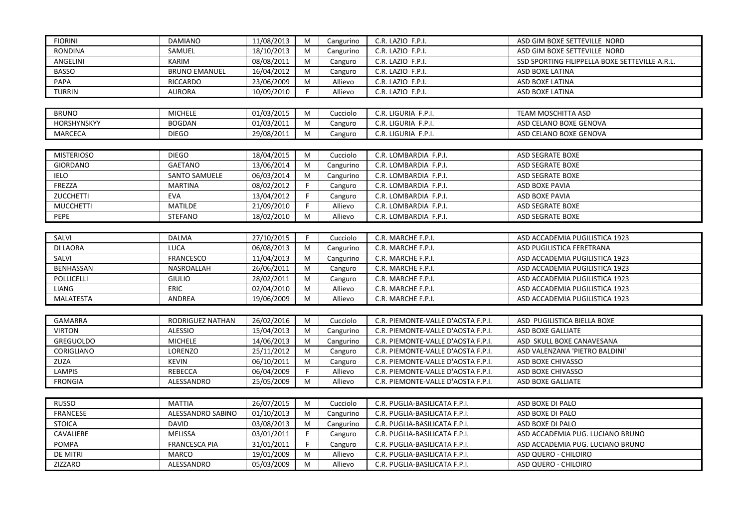| <b>FIORINI</b>    | <b>DAMIANO</b>       | 11/08/2013 | M  | Cangurino | C.R. LAZIO F.P.I.                  | ASD GIM BOXE SETTEVILLE NORD                   |
|-------------------|----------------------|------------|----|-----------|------------------------------------|------------------------------------------------|
| <b>RONDINA</b>    | SAMUEL               | 18/10/2013 | М  | Cangurino | C.R. LAZIO F.P.I.                  | ASD GIM BOXE SETTEVILLE NORD                   |
| ANGELINI          | KARIM                | 08/08/2011 | M  | Canguro   | C.R. LAZIO F.P.I.                  | SSD SPORTING FILIPPELLA BOXE SETTEVILLE A.R.L. |
| <b>BASSO</b>      | <b>BRUNO EMANUEL</b> | 16/04/2012 | M  | Canguro   | C.R. LAZIO F.P.I.                  | ASD BOXE LATINA                                |
| PAPA              | <b>RICCARDO</b>      | 23/06/2009 | M  | Allievo   | C.R. LAZIO F.P.I.                  | ASD BOXE LATINA                                |
| <b>TURRIN</b>     | <b>AURORA</b>        | 10/09/2010 | F. | Allievo   | C.R. LAZIO F.P.I.                  | ASD BOXE LATINA                                |
|                   |                      |            |    |           |                                    |                                                |
| <b>BRUNO</b>      | <b>MICHELE</b>       | 01/03/2015 | M  | Cucciolo  | C.R. LIGURIA F.P.I.                | TEAM MOSCHITTA ASD                             |
| HORSHYNSKYY       | <b>BOGDAN</b>        | 01/03/2011 | M  | Canguro   | C.R. LIGURIA F.P.I.                | ASD CELANO BOXE GENOVA                         |
| <b>MARCECA</b>    | <b>DIEGO</b>         | 29/08/2011 | M  | Canguro   | C.R. LIGURIA F.P.I.                | ASD CELANO BOXE GENOVA                         |
|                   |                      |            |    |           |                                    |                                                |
| <b>MISTERIOSO</b> | <b>DIEGO</b>         | 18/04/2015 | M  | Cucciolo  | C.R. LOMBARDIA F.P.I.              | <b>ASD SEGRATE BOXE</b>                        |
| <b>GIORDANO</b>   | <b>GAETANO</b>       | 13/06/2014 | M  | Cangurino | C.R. LOMBARDIA F.P.I.              | <b>ASD SEGRATE BOXE</b>                        |
| <b>IELO</b>       | <b>SANTO SAMUELE</b> | 06/03/2014 | М  | Cangurino | C.R. LOMBARDIA F.P.I.              | ASD SEGRATE BOXE                               |
| FREZZA            | <b>MARTINA</b>       | 08/02/2012 | F  | Canguro   | C.R. LOMBARDIA F.P.I.              | ASD BOXE PAVIA                                 |
| <b>ZUCCHETTI</b>  | <b>EVA</b>           | 13/04/2012 | F. | Canguro   | C.R. LOMBARDIA F.P.I.              | ASD BOXE PAVIA                                 |
| <b>MUCCHETTI</b>  | <b>MATILDE</b>       | 21/09/2010 | F. | Allievo   | C.R. LOMBARDIA F.P.I.              | <b>ASD SEGRATE BOXE</b>                        |
| <b>PEPE</b>       | <b>STEFANO</b>       | 18/02/2010 | M  | Allievo   | C.R. LOMBARDIA F.P.I.              | ASD SEGRATE BOXE                               |
|                   |                      |            |    |           |                                    |                                                |
| SALVI             | <b>DALMA</b>         | 27/10/2015 | F. | Cucciolo  | C.R. MARCHE F.P.I.                 | ASD ACCADEMIA PUGILISTICA 1923                 |
| <b>DI LAORA</b>   | <b>LUCA</b>          | 06/08/2013 | M  | Cangurino | C.R. MARCHE F.P.I.                 | ASD PUGILISTICA FERETRANA                      |
| SALVI             | <b>FRANCESCO</b>     | 11/04/2013 | M  | Cangurino | C.R. MARCHE F.P.I.                 | ASD ACCADEMIA PUGILISTICA 1923                 |
| <b>BENHASSAN</b>  | NASROALLAH           | 26/06/2011 | M  | Canguro   | C.R. MARCHE F.P.I.                 | ASD ACCADEMIA PUGILISTICA 1923                 |
| POLLICELLI        | <b>GIULIO</b>        | 28/02/2011 | M  | Canguro   | C.R. MARCHE F.P.I.                 | ASD ACCADEMIA PUGILISTICA 1923                 |
| LIANG             | <b>ERIC</b>          | 02/04/2010 | M  | Allievo   | C.R. MARCHE F.P.I.                 | ASD ACCADEMIA PUGILISTICA 1923                 |
| <b>MALATESTA</b>  | ANDREA               | 19/06/2009 | M  | Allievo   | C.R. MARCHE F.P.I.                 | ASD ACCADEMIA PUGILISTICA 1923                 |
|                   |                      |            |    |           |                                    |                                                |
| <b>GAMARRA</b>    | RODRIGUEZ NATHAN     | 26/02/2016 | M  | Cucciolo  | C.R. PIEMONTE-VALLE D'AOSTA F.P.I. | ASD PUGILISTICA BIELLA BOXE                    |
| <b>VIRTON</b>     | <b>ALESSIO</b>       | 15/04/2013 | M  | Cangurino | C.R. PIEMONTE-VALLE D'AOSTA F.P.I. | <b>ASD BOXE GALLIATE</b>                       |
| GREGUOLDO         | MICHELE              | 14/06/2013 | M  | Cangurino | C.R. PIEMONTE-VALLE D'AOSTA F.P.I. | ASD SKULL BOXE CANAVESANA                      |
| CORIGLIANO        | LORENZO              | 25/11/2012 | M  | Canguro   | C.R. PIEMONTE-VALLE D'AOSTA F.P.I. | ASD VALENZANA 'PIETRO BALDINI'                 |
| ZUZA              | <b>KEVIN</b>         | 06/10/2011 | M  | Canguro   | C.R. PIEMONTE-VALLE D'AOSTA F.P.I. | ASD BOXE CHIVASSO                              |
| LAMPIS            | <b>REBECCA</b>       | 06/04/2009 | F  | Allievo   | C.R. PIEMONTE-VALLE D'AOSTA F.P.I. | ASD BOXE CHIVASSO                              |
| <b>FRONGIA</b>    | ALESSANDRO           | 25/05/2009 | M  | Allievo   | C.R. PIEMONTE-VALLE D'AOSTA F.P.I. | ASD BOXE GALLIATE                              |
|                   |                      |            |    |           |                                    |                                                |
| <b>RUSSO</b>      | <b>MATTIA</b>        | 26/07/2015 | M  | Cucciolo  | C.R. PUGLIA-BASILICATA F.P.I.      | ASD BOXE DI PALO                               |
| FRANCESE          | ALESSANDRO SABINO    | 01/10/2013 | M  | Cangurino | C.R. PUGLIA-BASILICATA F.P.I.      | ASD BOXE DI PALO                               |
| <b>STOICA</b>     | <b>DAVID</b>         | 03/08/2013 | M  | Cangurino | C.R. PUGLIA-BASILICATA F.P.I.      | ASD BOXE DI PALO                               |
| CAVALIERE         | <b>MELISSA</b>       | 03/01/2011 | F. | Canguro   | C.R. PUGLIA-BASILICATA F.P.I.      | ASD ACCADEMIA PUG. LUCIANO BRUNO               |
| POMPA             | <b>FRANCESCA PIA</b> | 31/01/2011 | F. | Canguro   | C.R. PUGLIA-BASILICATA F.P.I.      | ASD ACCADEMIA PUG. LUCIANO BRUNO               |
| DE MITRI          | <b>MARCO</b>         | 19/01/2009 | M  | Allievo   | C.R. PUGLIA-BASILICATA F.P.I.      | ASD QUERO - CHILOIRO                           |
| ZIZZARO           | ALESSANDRO           | 05/03/2009 | M  | Allievo   | C.R. PUGLIA-BASILICATA F.P.I.      | ASD QUERO - CHILOIRO                           |